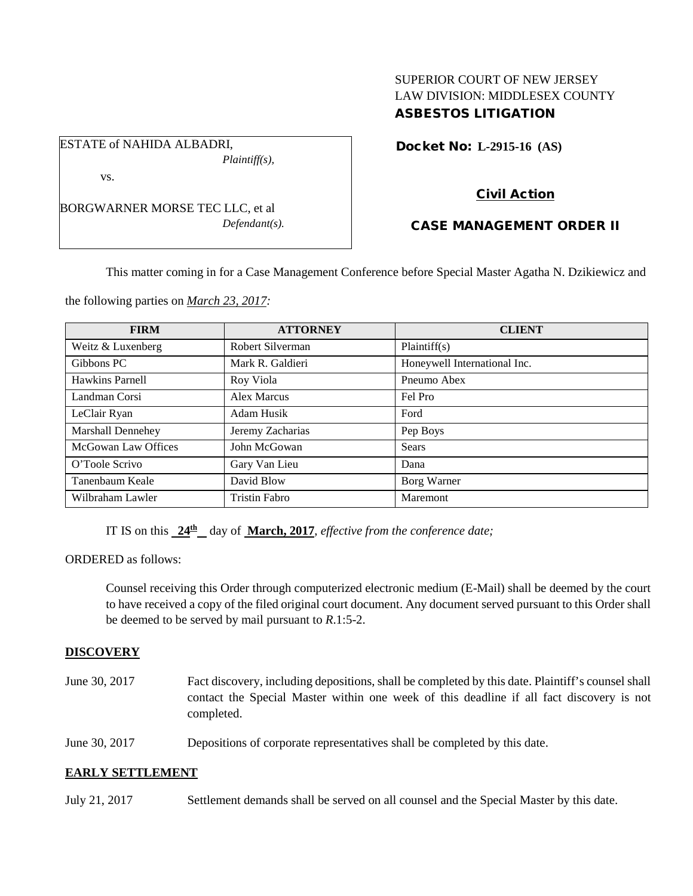# SUPERIOR COURT OF NEW JERSEY LAW DIVISION: MIDDLESEX COUNTY ASBESTOS LITIGATION

Docket No: **L-2915-16 (AS)** 

BORGWARNER MORSE TEC LLC, et al *Defendant(s).*

*Plaintiff(s),*

ESTATE of NAHIDA ALBADRI,

vs.

# Civil Action

# CASE MANAGEMENT ORDER II

This matter coming in for a Case Management Conference before Special Master Agatha N. Dzikiewicz and

the following parties on *March 23, 2017:*

| <b>FIRM</b>                | <b>ATTORNEY</b>      | <b>CLIENT</b>                |
|----------------------------|----------------------|------------------------------|
| Weitz & Luxenberg          | Robert Silverman     | Plaintiff(s)                 |
| Gibbons PC                 | Mark R. Galdieri     | Honeywell International Inc. |
| Hawkins Parnell            | Roy Viola            | Pneumo Abex                  |
| Landman Corsi              | Alex Marcus          | Fel Pro                      |
| LeClair Ryan               | Adam Husik           | Ford                         |
| Marshall Dennehey          | Jeremy Zacharias     | Pep Boys                     |
| <b>McGowan Law Offices</b> | John McGowan         | Sears                        |
| O'Toole Scrivo             | Gary Van Lieu        | Dana                         |
| Tanenbaum Keale            | David Blow           | Borg Warner                  |
| Wilbraham Lawler           | <b>Tristin Fabro</b> | Maremont                     |

IT IS on this **24th** day of **March, 2017**, *effective from the conference date;*

ORDERED as follows:

Counsel receiving this Order through computerized electronic medium (E-Mail) shall be deemed by the court to have received a copy of the filed original court document. Any document served pursuant to this Order shall be deemed to be served by mail pursuant to *R*.1:5-2.

### **DISCOVERY**

June 30, 2017 Fact discovery, including depositions, shall be completed by this date. Plaintiff's counsel shall contact the Special Master within one week of this deadline if all fact discovery is not completed.

June 30, 2017 Depositions of corporate representatives shall be completed by this date.

## **EARLY SETTLEMENT**

July 21, 2017 Settlement demands shall be served on all counsel and the Special Master by this date.